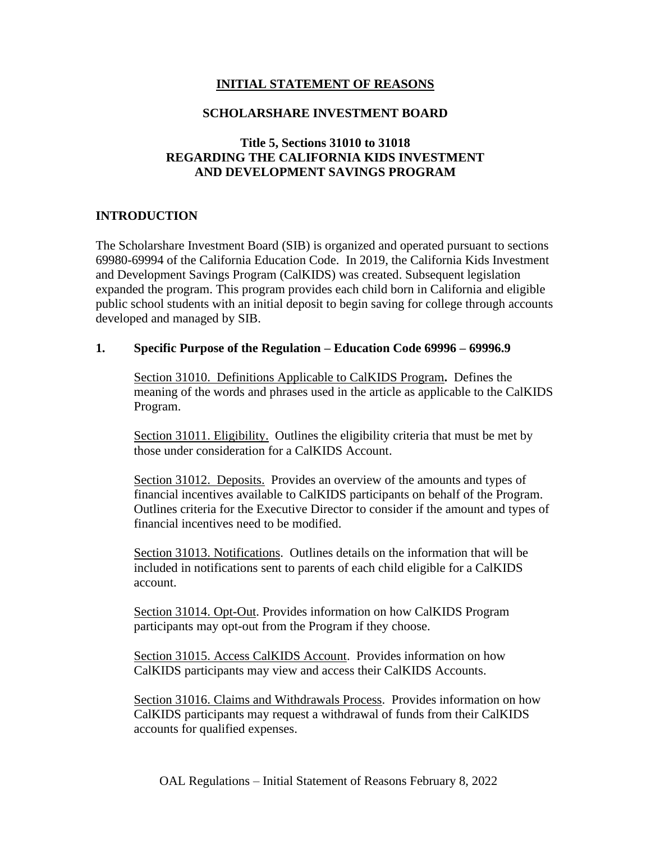# **INITIAL STATEMENT OF REASONS**

#### **SCHOLARSHARE INVESTMENT BOARD**

## **Title 5, Sections 31010 to 31018 REGARDING THE CALIFORNIA KIDS INVESTMENT AND DEVELOPMENT SAVINGS PROGRAM**

# **INTRODUCTION**

The Scholarshare Investment Board (SIB) is organized and operated pursuant to sections 69980-69994 of the California Education Code. In 2019, the California Kids Investment and Development Savings Program (CalKIDS) was created. Subsequent legislation expanded the program. This program provides each child born in California and eligible public school students with an initial deposit to begin saving for college through accounts developed and managed by SIB.

#### **1. Specific Purpose of the Regulation – Education Code 69996 – 69996.9**

Section 31010. Definitions Applicable to CalKIDS Program**.** Defines the meaning of the words and phrases used in the article as applicable to the CalKIDS Program.

Section 31011. Eligibility. Outlines the eligibility criteria that must be met by those under consideration for a CalKIDS Account.

Section 31012. Deposits.Provides an overview of the amounts and types of financial incentives available to CalKIDS participants on behalf of the Program. Outlines criteria for the Executive Director to consider if the amount and types of financial incentives need to be modified.

Section 31013. Notifications. Outlines details on the information that will be included in notifications sent to parents of each child eligible for a CalKIDS account.

Section 31014. Opt-Out. Provides information on how CalKIDS Program participants may opt-out from the Program if they choose.

Section 31015. Access CalKIDS Account.Provides information on how CalKIDS participants may view and access their CalKIDS Accounts.

Section 31016. Claims and Withdrawals Process.Provides information on how CalKIDS participants may request a withdrawal of funds from their CalKIDS accounts for qualified expenses.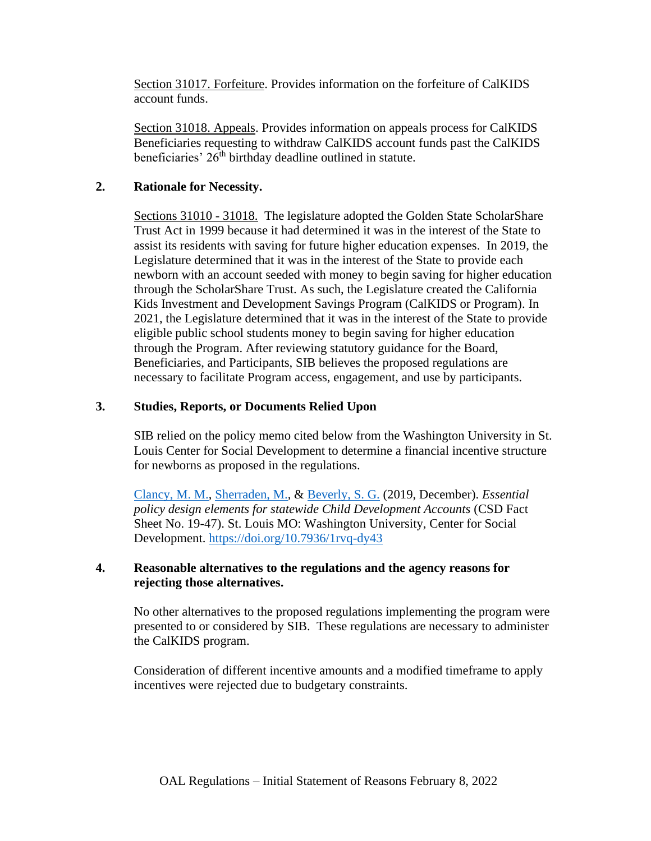Section 31017. Forfeiture. Provides information on the forfeiture of CalKIDS account funds.

Section 31018. Appeals. Provides information on appeals process for CalKIDS Beneficiaries requesting to withdraw CalKIDS account funds past the CalKIDS beneficiaries'  $26<sup>th</sup>$  birthday deadline outlined in statute.

## **2. Rationale for Necessity.**

Sections 31010 - 31018. The legislature adopted the Golden State ScholarShare Trust Act in 1999 because it had determined it was in the interest of the State to assist its residents with saving for future higher education expenses. In 2019, the Legislature determined that it was in the interest of the State to provide each newborn with an account seeded with money to begin saving for higher education through the ScholarShare Trust. As such, the Legislature created the California Kids Investment and Development Savings Program (CalKIDS or Program). In 2021, the Legislature determined that it was in the interest of the State to provide eligible public school students money to begin saving for higher education through the Program. After reviewing statutory guidance for the Board, Beneficiaries, and Participants, SIB believes the proposed regulations are necessary to facilitate Program access, engagement, and use by participants.

## **3. Studies, Reports, or Documents Relied Upon**

SIB relied on the policy memo cited below from the Washington University in St. Louis Center for Social Development to determine a financial incentive structure for newborns as proposed in the regulations.

[Clancy, M. M.,](https://csd.wustl.edu/people/margaret-m-clancy/) [Sherraden, M.,](https://csd.wustl.edu/people/michael-sherraden/) & [Beverly, S. G.](https://csd.wustl.edu/people/sondra-beverly/) (2019, December). *Essential policy design elements for statewide Child Development Accounts* (CSD Fact Sheet No. 19-47). St. Louis MO: Washington University, Center for Social Development.<https://doi.org/10.7936/1rvq-dy43>

## **4. Reasonable alternatives to the regulations and the agency reasons for rejecting those alternatives.**

No other alternatives to the proposed regulations implementing the program were presented to or considered by SIB. These regulations are necessary to administer the CalKIDS program.

Consideration of different incentive amounts and a modified timeframe to apply incentives were rejected due to budgetary constraints.